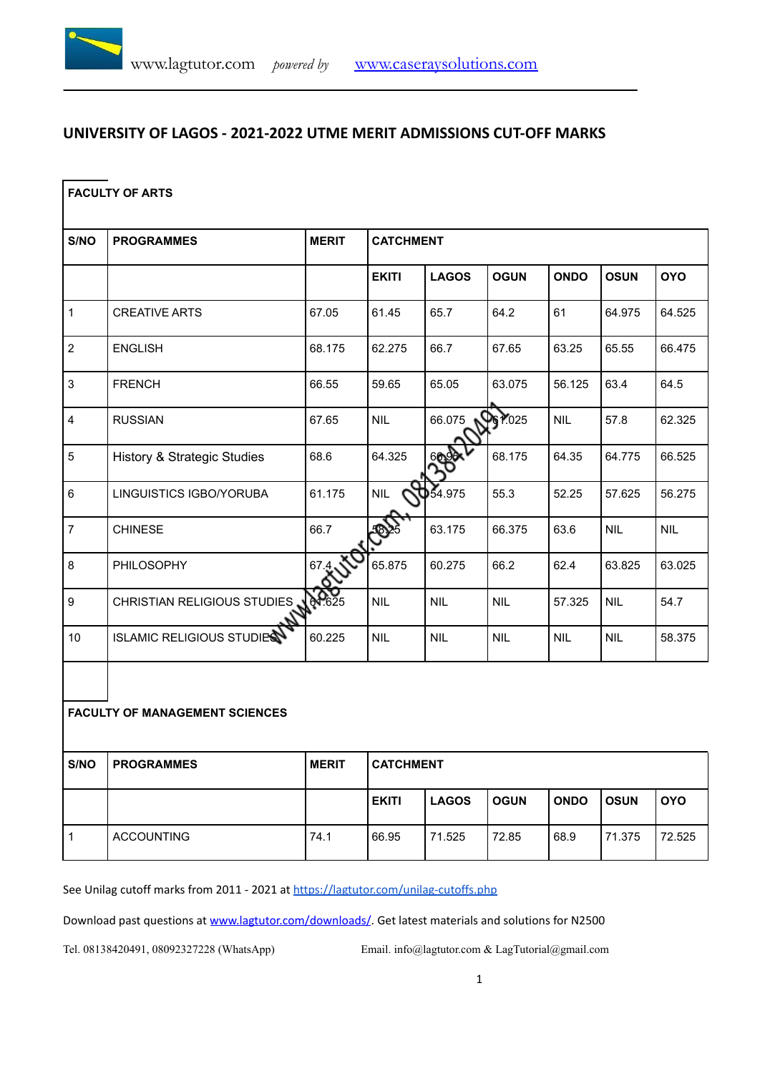# **UNIVERSITY OF LAGOS - 2021-2022 UTME MERIT ADMISSIONS CUT-OFF MARKS**

#### **FACULTY OF ARTS**

| S/NO                    | <b>PROGRAMMES</b>                      | <b>MERIT</b> | <b>CATCHMENT</b> |              |                 |             |             |            |  |  |
|-------------------------|----------------------------------------|--------------|------------------|--------------|-----------------|-------------|-------------|------------|--|--|
|                         |                                        |              | <b>EKITI</b>     | <b>LAGOS</b> | <b>OGUN</b>     | <b>ONDO</b> | <b>OSUN</b> | <b>OYO</b> |  |  |
| $\mathbf{1}$            | <b>CREATIVE ARTS</b>                   | 67.05        | 61.45            | 65.7         | 64.2            | 61          | 64.975      | 64.525     |  |  |
| $\overline{2}$          | <b>ENGLISH</b>                         | 68.175       | 62.275           | 66.7         | 67.65           | 63.25       | 65.55       | 66.475     |  |  |
| 3                       | <b>FRENCH</b>                          | 66.55        | 59.65            | 65.05        | 63.075          | 56.125      | 63.4        | 64.5       |  |  |
| $\overline{\mathbf{4}}$ | <b>RUSSIAN</b>                         | 67.65        | <b>NIL</b>       | 66.075       | <b>PG 7:025</b> | <b>NIL</b>  | 57.8        | 62.325     |  |  |
| 5                       | <b>History &amp; Strategic Studies</b> | 68.6         | 64.325           | 66 X         | 68.175          | 64.35       | 64.775      | 66.525     |  |  |
| $\,6\,$                 | LINGUISTICS IGBO/YORUBA                | 61.175       | <b>NIL</b>       | 0.54.975     | 55.3            | 52.25       | 57.625      | 56.275     |  |  |
| $\overline{7}$          | <b>CHINESE</b>                         | 66.7         | SQ)              | 63.175       | 66.375          | 63.6        | <b>NIL</b>  | <b>NIL</b> |  |  |
| 8                       | PHILOSOPHY                             | 67.4         | 65.875           | 60.275       | 66.2            | 62.4        | 63.825      | 63.025     |  |  |
| $\boldsymbol{9}$        | CHRISTIAN RELIGIOUS STUDIES AND        |              | <b>NIL</b>       | <b>NIL</b>   | <b>NIL</b>      | 57.325      | <b>NIL</b>  | 54.7       |  |  |
| 10                      | <b>ISLAMIC RELIGIOUS STUDIES</b>       | 60.225       | <b>NIL</b>       | <b>NIL</b>   | <b>NIL</b>      | <b>NIL</b>  | <b>NIL</b>  | 58.375     |  |  |

#### **FACULTY OF MANAGEMENT SCIENCES**

| S/NO | <b>PROGRAMMES</b> | <b>MERIT</b> | <b>CATCHMENT</b> |              |             |             |             |            |  |
|------|-------------------|--------------|------------------|--------------|-------------|-------------|-------------|------------|--|
|      |                   |              | <b>EKITI</b>     | <b>LAGOS</b> | <b>OGUN</b> | <b>ONDO</b> | <b>OSUN</b> | <b>OYO</b> |  |
|      | <b>ACCOUNTING</b> | 74.1         | 66.95            | 71.525       | 72.85       | 68.9        | 71.375      | 72.525     |  |

See Unilag cutoff marks from 2011 - 2021 at <https://lagtutor.com/unilag-cutoffs.php>

Download past questions at [www.lagtutor.com/downloads/](http://www.lagtutor.com/downloads/). Get latest materials and solutions for N2500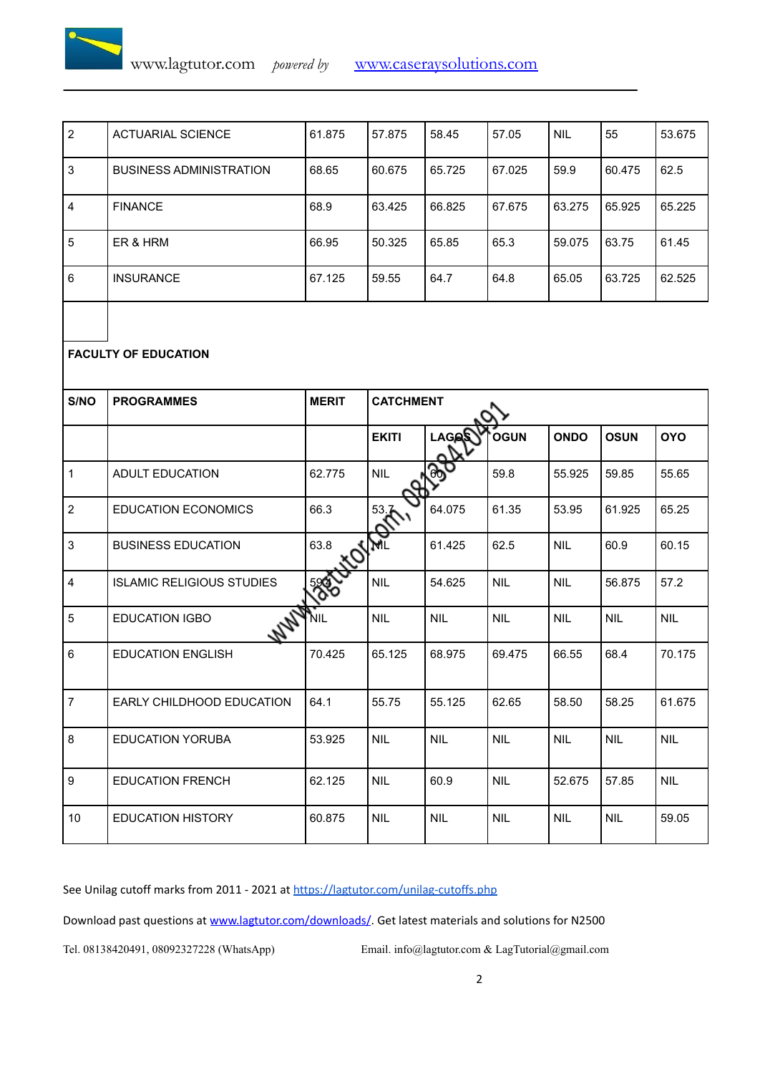

| 2 | <b>ACTUARIAL SCIENCE</b>       | 61.875 | 57.875 | 58.45  | 57.05  | <b>NIL</b> | 55     | 53.675 |
|---|--------------------------------|--------|--------|--------|--------|------------|--------|--------|
| 3 | <b>BUSINESS ADMINISTRATION</b> | 68.65  | 60.675 | 65.725 | 67.025 | 59.9       | 60.475 | 62.5   |
| 4 | <b>FINANCE</b>                 | 68.9   | 63.425 | 66.825 | 67.675 | 63.275     | 65.925 | 65.225 |
| 5 | ER & HRM                       | 66.95  | 50.325 | 65.85  | 65.3   | 59.075     | 63.75  | 61.45  |
| 6 | <b>INSURANCE</b>               | 67.125 | 59.55  | 64.7   | 64.8   | 65.05      | 63.725 | 62.525 |

### **FACULTY OF EDUCATION**

| S/NO             | <b>PROGRAMMES</b>                | <b>MERIT</b> | <b>CATCHMENT</b> |              |             |             |             |            |  |  |
|------------------|----------------------------------|--------------|------------------|--------------|-------------|-------------|-------------|------------|--|--|
|                  |                                  |              | <b>EKITI</b>     | <b>LAGAS</b> | <b>OGUN</b> | <b>ONDO</b> | <b>OSUN</b> | <b>OYO</b> |  |  |
| $\mathbf{1}$     | <b>ADULT EDUCATION</b>           | 62.775       | <b>NIL</b>       |              | 59.8        | 55.925      | 59.85       | 55.65      |  |  |
| $\overline{2}$   | <b>EDUCATION ECONOMICS</b>       | 66.3         | 53.7             | 64.075       | 61.35       | 53.95       | 61.925      | 65.25      |  |  |
| 3                | <b>BUSINESS EDUCATION</b>        | 63.8         | I All            | 61.425       | 62.5        | <b>NIL</b>  | 60.9        | 60.15      |  |  |
| 4                | <b>ISLAMIC RELIGIOUS STUDIES</b> |              | <b>NIL</b>       | 54.625       | <b>NIL</b>  | <b>NIL</b>  | 56.875      | 57.2       |  |  |
| 5                | 147<br><b>EDUCATION IGBO</b>     | NIL          | <b>NIL</b>       | <b>NIL</b>   | <b>NIL</b>  | <b>NIL</b>  | <b>NIL</b>  | <b>NIL</b> |  |  |
| $6\phantom{a}$   | <b>EDUCATION ENGLISH</b>         | 70.425       | 65.125           | 68.975       | 69.475      | 66.55       | 68.4        | 70.175     |  |  |
| $\overline{7}$   | EARLY CHILDHOOD EDUCATION        | 64.1         | 55.75            | 55.125       | 62.65       | 58.50       | 58.25       | 61.675     |  |  |
| 8                | <b>EDUCATION YORUBA</b>          | 53.925       | <b>NIL</b>       | <b>NIL</b>   | <b>NIL</b>  | <b>NIL</b>  | <b>NIL</b>  | <b>NIL</b> |  |  |
| $\boldsymbol{9}$ | <b>EDUCATION FRENCH</b>          | 62.125       | <b>NIL</b>       | 60.9         | <b>NIL</b>  | 52.675      | 57.85       | <b>NIL</b> |  |  |
| 10               | <b>EDUCATION HISTORY</b>         | 60.875       | <b>NIL</b>       | <b>NIL</b>   | <b>NIL</b>  | <b>NIL</b>  | <b>NIL</b>  | 59.05      |  |  |

See Unilag cutoff marks from 2011 - 2021 at <https://lagtutor.com/unilag-cutoffs.php>

Download past questions at [www.lagtutor.com/downloads/](http://www.lagtutor.com/downloads/). Get latest materials and solutions for N2500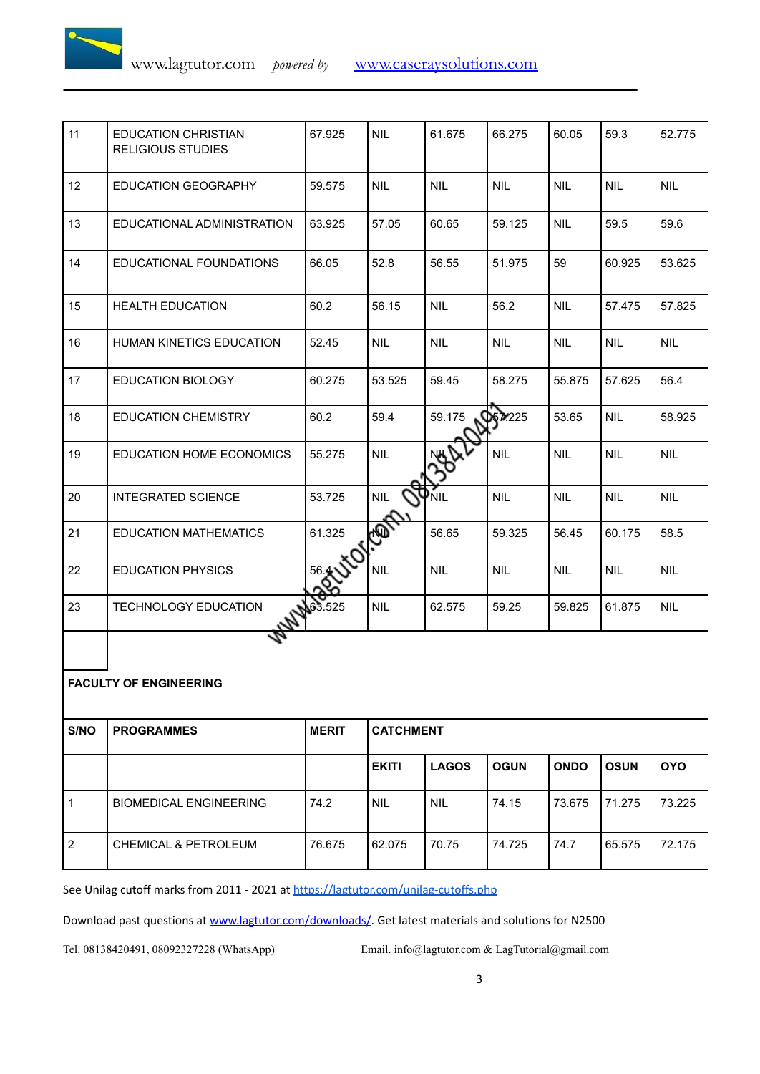

| 11 | <b>EDUCATION CHRISTIAN</b><br><b>RELIGIOUS STUDIES</b> | 67.925    | <b>NIL</b> | 61.675     | 66.275         | 60.05      | 59.3       | 52.775     |
|----|--------------------------------------------------------|-----------|------------|------------|----------------|------------|------------|------------|
| 12 | <b>EDUCATION GEOGRAPHY</b>                             | 59.575    | <b>NIL</b> | <b>NIL</b> | <b>NIL</b>     | <b>NIL</b> | <b>NIL</b> | <b>NIL</b> |
| 13 | EDUCATIONAL ADMINISTRATION                             | 63.925    | 57.05      | 60.65      | 59.125         | <b>NIL</b> | 59.5       | 59.6       |
| 14 | EDUCATIONAL FOUNDATIONS                                | 66.05     | 52.8       | 56.55      | 51.975         | 59         | 60.925     | 53.625     |
| 15 | <b>HEALTH EDUCATION</b>                                | 60.2      | 56.15      | <b>NIL</b> | 56.2           | <b>NIL</b> | 57.475     | 57.825     |
| 16 | <b>HUMAN KINETICS EDUCATION</b>                        | 52.45     | <b>NIL</b> | <b>NIL</b> | <b>NIL</b>     | <b>NIL</b> | <b>NIL</b> | <b>NIL</b> |
| 17 | <b>EDUCATION BIOLOGY</b>                               | 60.275    | 53.525     | 59.45      | 58.275         | 55.875     | 57.625     | 56.4       |
| 18 | <b>EDUCATION CHEMISTRY</b>                             | 60.2      | 59.4       | 59.175     | <b>DE7</b> 225 | 53.65      | <b>NIL</b> | 58.925     |
| 19 | EDUCATION HOME ECONOMICS                               | 55.275    | <b>NIL</b> |            | <b>NIL</b>     | <b>NIL</b> | <b>NIL</b> | <b>NIL</b> |
| 20 | <b>INTEGRATED SCIENCE</b>                              | 53.725    | <b>NIL</b> | YNIL       | <b>NIL</b>     | <b>NIL</b> | <b>NIL</b> | <b>NIL</b> |
| 21 | <b>EDUCATION MATHEMATICS</b>                           | 61.325    | Ç          | 56.65      | 59.325         | 56.45      | 60.175     | 58.5       |
| 22 | <b>EDUCATION PHYSICS</b>                               | 56.4      | <b>NIL</b> | <b>NIL</b> | <b>NIL</b>     | <b>NIL</b> | <b>NIL</b> | <b>NIL</b> |
| 23 | TECHNOLOGY EDUCATION                                   | \$163.525 | <b>NIL</b> | 62.575     | 59.25          | 59.825     | 61.875     | <b>NIL</b> |
|    |                                                        |           |            |            |                |            |            |            |

### **FACULTY OF ENGINEERING**

| S/NO | <b>PROGRAMMES</b>               | <b>MERIT</b> | <b>CATCHMENT</b> |              |             |             |             |            |  |  |
|------|---------------------------------|--------------|------------------|--------------|-------------|-------------|-------------|------------|--|--|
|      |                                 |              | <b>EKITI</b>     | <b>LAGOS</b> | <b>OGUN</b> | <b>ONDO</b> | <b>OSUN</b> | <b>OYO</b> |  |  |
|      | <b>BIOMEDICAL ENGINEERING</b>   | 74.2         | <b>NIL</b>       | <b>NIL</b>   | 74.15       | 73.675      | 71.275      | 73.225     |  |  |
| 2    | <b>CHEMICAL &amp; PETROLEUM</b> | 76.675       | 62.075           | 70.75        | 74.725      | 74.7        | 65.575      | 72.175     |  |  |

See Unilag cutoff marks from 2011 - 2021 at <https://lagtutor.com/unilag-cutoffs.php>

Download past questions at [www.lagtutor.com/downloads/](http://www.lagtutor.com/downloads/). Get latest materials and solutions for N2500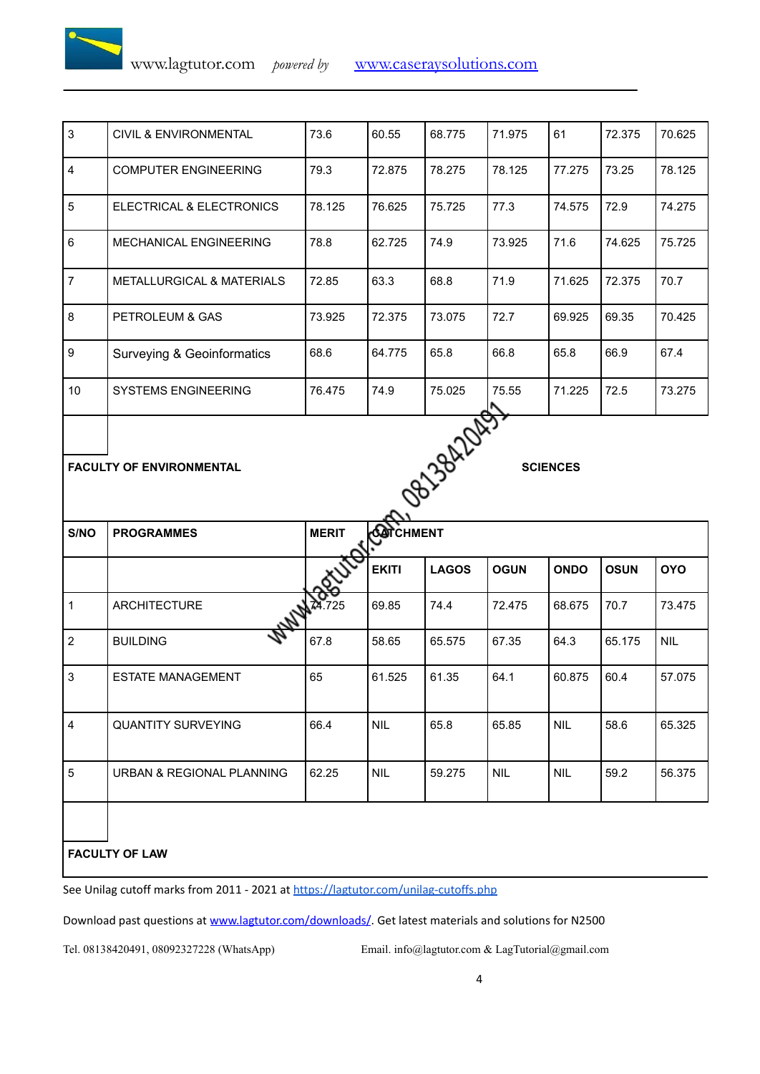| $\mathbf{3}$   | <b>CIVIL &amp; ENVIRONMENTAL</b>      | 73.6   | 60.55  | 68.775 | 71.975 | 61     | 72.375 | 70.625 |
|----------------|---------------------------------------|--------|--------|--------|--------|--------|--------|--------|
| $\overline{4}$ | <b>COMPUTER ENGINEERING</b>           | 79.3   | 72.875 | 78.275 | 78.125 | 77.275 | 73.25  | 78.125 |
| 5              | ELECTRICAL & ELECTRONICS              | 78.125 | 76.625 | 75.725 | 77.3   | 74.575 | 72.9   | 74.275 |
| 6              | <b>MECHANICAL ENGINEERING</b>         | 78.8   | 62.725 | 74.9   | 73.925 | 71.6   | 74.625 | 75.725 |
| $\overline{7}$ | <b>METALLURGICAL &amp; MATERIALS</b>  | 72.85  | 63.3   | 68.8   | 71.9   | 71.625 | 72.375 | 70.7   |
| 8              | PETROLEUM & GAS                       | 73.925 | 72.375 | 73.075 | 72.7   | 69.925 | 69.35  | 70.425 |
| 9              | <b>Surveying &amp; Geoinformatics</b> | 68.6   | 64.775 | 65.8   | 66.8   | 65.8   | 66.9   | 67.4   |
| 10             | <b>SYSTEMS ENGINEERING</b>            | 76.475 | 74.9   | 75.025 | 75.55  | 71.225 | 72.5   | 73.275 |

FACULTY OF ENVIRONMENTAL **EXECUTE A** SCIENCES

**S/NO PROGRAMMES MERIT CATCHMENT EKITI LAGOS OGUN ONDO OSUN OYO** 1 ARCHITECTURE 74.725 69.85 74.4 72.475 68.675 70.7 73.475 2 BUILDING 1988.675 67.8 58.65 65.575 67.35 64.3 65.175 NIL 3 **ESTATE MANAGEMENT** 65 61.525 61.35 64.1 60.875 60.4 57.075 4 QUANTITY SURVEYING 66.4 NIL 65.8 65.85 NIL 58.6 65.325 5 URBAN & REGIONAL PLANNING 62.25 NIL 59.275 NIL NIL 59.2 56.375

**FACULTY OF LAW**

See Unilag cutoff marks from 2011 - 2021 at <https://lagtutor.com/unilag-cutoffs.php>

Download past questions at [www.lagtutor.com/downloads/](http://www.lagtutor.com/downloads/). Get latest materials and solutions for N2500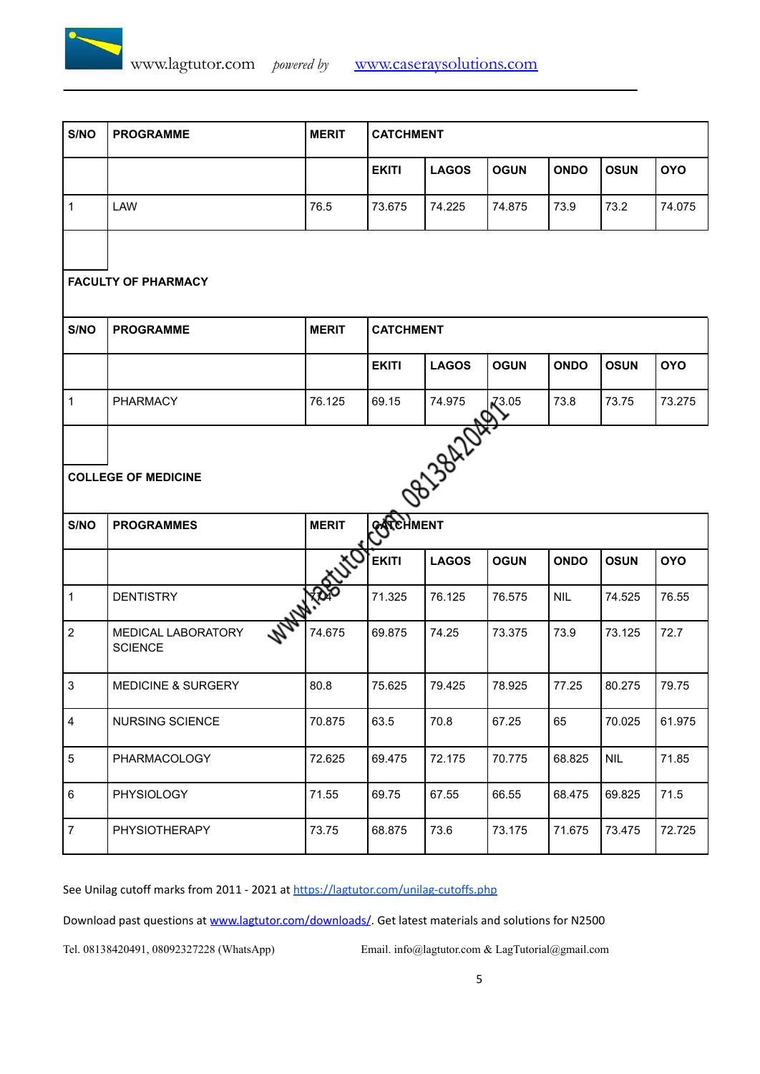

| S/NO                                                                                                      | <b>PROGRAMME</b>                     | <b>MERIT</b> | <b>CATCHMENT</b> |              |             |             |             |            |  |  |
|-----------------------------------------------------------------------------------------------------------|--------------------------------------|--------------|------------------|--------------|-------------|-------------|-------------|------------|--|--|
|                                                                                                           |                                      |              | <b>EKITI</b>     | <b>LAGOS</b> | <b>OGUN</b> | <b>ONDO</b> | <b>OSUN</b> | <b>OYO</b> |  |  |
| $\mathbf{1}$                                                                                              | LAW                                  | 76.5         | 73.675           | 74.225       | 74.875      | 73.9        | 73.2        | 74.075     |  |  |
| <b>FACULTY OF PHARMACY</b>                                                                                |                                      |              |                  |              |             |             |             |            |  |  |
| S/NO                                                                                                      | <b>PROGRAMME</b>                     | <b>MERIT</b> | <b>CATCHMENT</b> |              |             |             |             |            |  |  |
|                                                                                                           |                                      |              | <b>EKITI</b>     | <b>LAGOS</b> | <b>OGUN</b> | <b>ONDO</b> | <b>OSUN</b> | <b>OYO</b> |  |  |
| $\mathbf{1}$                                                                                              | PHARMACY                             | 76.125       | 69.15            | 74.975       | $X^{3.05}$  | 73.8        | 73.75       | 73.275     |  |  |
| 08138AZDAE<br><b>COLLEGE OF MEDICINE</b><br><b>PARCHMENT</b><br><b>MERIT</b><br>S/NO<br><b>PROGRAMMES</b> |                                      |              |                  |              |             |             |             |            |  |  |
|                                                                                                           |                                      |              |                  |              |             |             |             |            |  |  |
|                                                                                                           |                                      |              | <b>EKITI</b>     | <b>LAGOS</b> | <b>OGUN</b> | <b>ONDO</b> | <b>OSUN</b> | <b>OYO</b> |  |  |
| $\mathbf{1}$                                                                                              | <b>DENTISTRY</b>                     | <b>USOF</b>  | 71.325           | 76.125       | 76.575      | <b>NIL</b>  | 74.525      | 76.55      |  |  |
| $\overline{2}$                                                                                            | MEDICAL LABORATORY<br><b>SCIENCE</b> | 74.675       | 69.875           | 74.25        | 73.375      | 73.9        | 73.125      | 72.7       |  |  |
| $\mathbf{3}$                                                                                              | <b>MEDICINE &amp; SURGERY</b>        | 80.8         | 75.625           | 79.425       | 78.925      | 77.25       | 80.275      | 79.75      |  |  |
| 4                                                                                                         | NURSING SCIENCE                      | 70.875       | 63.5             | 70.8         | 67.25       | 65          | 70.025      | 61.975     |  |  |
| $\,$ 5 $\,$                                                                                               | PHARMACOLOGY                         | 72.625       | 69.475           | 72.175       | 70.775      | 68.825      | <b>NIL</b>  | 71.85      |  |  |
| $\,6\,$                                                                                                   | PHYSIOLOGY                           | 71.55        | 69.75            | 67.55        | 66.55       | 68.475      | 69.825      | 71.5       |  |  |
| $\boldsymbol{7}$                                                                                          | PHYSIOTHERAPY                        | 73.75        | 68.875           | 73.6         | 73.175      | 71.675      | 73.475      | 72.725     |  |  |

See Unilag cutoff marks from 2011 - 2021 at <https://lagtutor.com/unilag-cutoffs.php>

Download past questions at [www.lagtutor.com/downloads/](http://www.lagtutor.com/downloads/). Get latest materials and solutions for N2500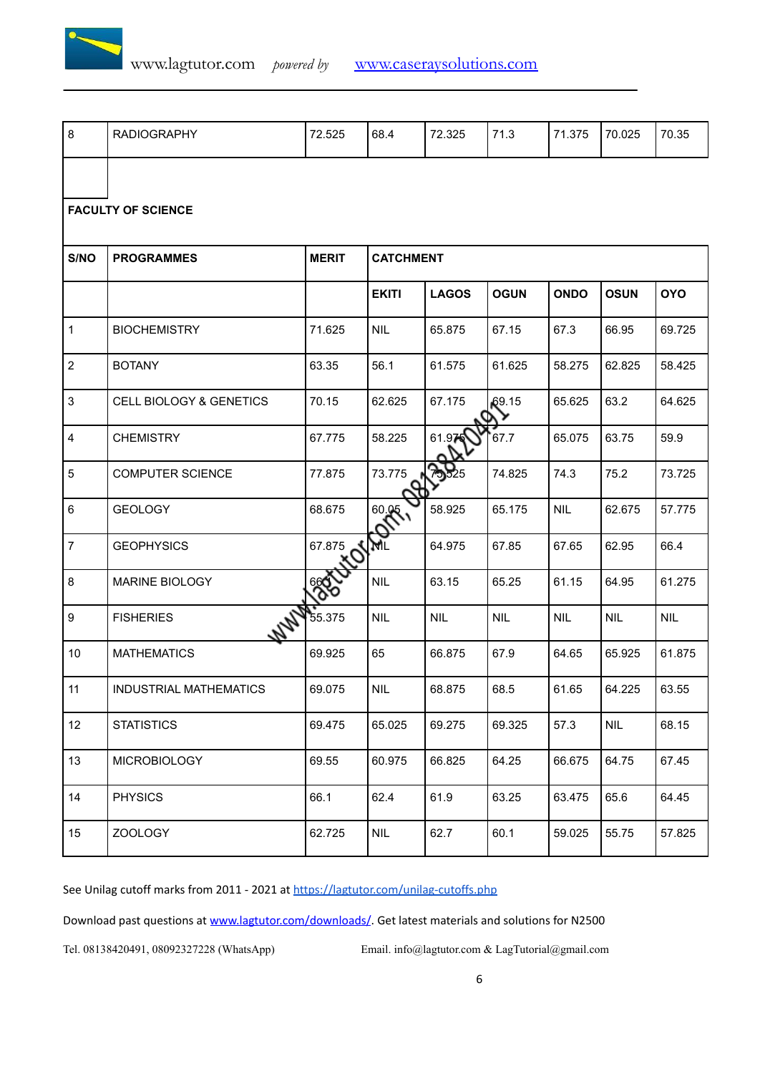

| 8                       | <b>RADIOGRAPHY</b>             | 72.525       | 68.4                                                                                    | 72.325     | 71.3       | 71.375     | 70.025     | 70.35      |  |
|-------------------------|--------------------------------|--------------|-----------------------------------------------------------------------------------------|------------|------------|------------|------------|------------|--|
|                         |                                |              |                                                                                         |            |            |            |            |            |  |
|                         | <b>FACULTY OF SCIENCE</b>      |              |                                                                                         |            |            |            |            |            |  |
| S/NO                    | <b>PROGRAMMES</b>              | <b>MERIT</b> | <b>CATCHMENT</b>                                                                        |            |            |            |            |            |  |
|                         |                                |              | <b>OYO</b><br><b>EKITI</b><br><b>LAGOS</b><br><b>OGUN</b><br><b>ONDO</b><br><b>OSUN</b> |            |            |            |            |            |  |
|                         |                                |              |                                                                                         |            |            |            |            |            |  |
| $\mathbf{1}$            | <b>BIOCHEMISTRY</b>            | 71.625       | <b>NIL</b>                                                                              | 65.875     | 67.15      | 67.3       | 66.95      | 69.725     |  |
| $\overline{2}$          | <b>BOTANY</b>                  | 63.35        | 56.1                                                                                    | 61.575     | 61.625     | 58.275     | 62.825     | 58.425     |  |
| $\mathbf{3}$            | CELL BIOLOGY & GENETICS        | 70.15        | 62.625                                                                                  | 67.175     | 69.15      | 65.625     | 63.2       | 64.625     |  |
| $\overline{\mathbf{4}}$ | <b>CHEMISTRY</b>               | 67.775       | 58.225                                                                                  | 61.97      | 67.7       | 65.075     | 63.75      | 59.9       |  |
| 5                       | COMPUTER SCIENCE               | 77.875       | 73.775                                                                                  | 75525      | 74.825     | 74.3       | 75.2       | 73.725     |  |
| 6                       | <b>GEOLOGY</b>                 | 68.675       | 008.                                                                                    | 58.925     | 65.175     | <b>NIL</b> | 62.675     | 57.775     |  |
| $\overline{7}$          | <b>GEOPHYSICS</b>              | 67.875       | Я                                                                                       | 64.975     | 67.85      | 67.65      | 62.95      | 66.4       |  |
| 8                       | <b>MARINE BIOLOGY</b>          | 660          | <b>NIL</b>                                                                              | 63.15      | 65.25      | 61.15      | 64.95      | 61.275     |  |
| 9                       | <b>WWW</b><br><b>FISHERIES</b> | 55.375       | <b>NIL</b>                                                                              | <b>NIL</b> | <b>NIL</b> | <b>NIL</b> | <b>NIL</b> | <b>NIL</b> |  |
| $10$                    | <b>MATHEMATICS</b>             | 69.925       | 65                                                                                      | 66.875     | 67.9       | 64.65      | 65.925     | 61.875     |  |
| 11                      | INDUSTRIAL MATHEMATICS         | 69.075       | <b>NIL</b>                                                                              | 68.875     | 68.5       | 61.65      | 64.225     | 63.55      |  |
| 12                      | <b>STATISTICS</b>              | 69.475       | 65.025                                                                                  | 69.275     | 69.325     | 57.3       | <b>NIL</b> | 68.15      |  |
| 13                      | <b>MICROBIOLOGY</b>            | 69.55        | 60.975                                                                                  | 66.825     | 64.25      | 66.675     | 64.75      | 67.45      |  |
| 14                      | <b>PHYSICS</b>                 | 66.1         | 62.4                                                                                    | 61.9       | 63.25      | 63.475     | 65.6       | 64.45      |  |
| 15                      | ZOOLOGY                        | 62.725       | <b>NIL</b>                                                                              | 62.7       | 60.1       | 59.025     | 55.75      | 57.825     |  |

See Unilag cutoff marks from 2011 - 2021 at <https://lagtutor.com/unilag-cutoffs.php>

Download past questions at [www.lagtutor.com/downloads/](http://www.lagtutor.com/downloads/). Get latest materials and solutions for N2500